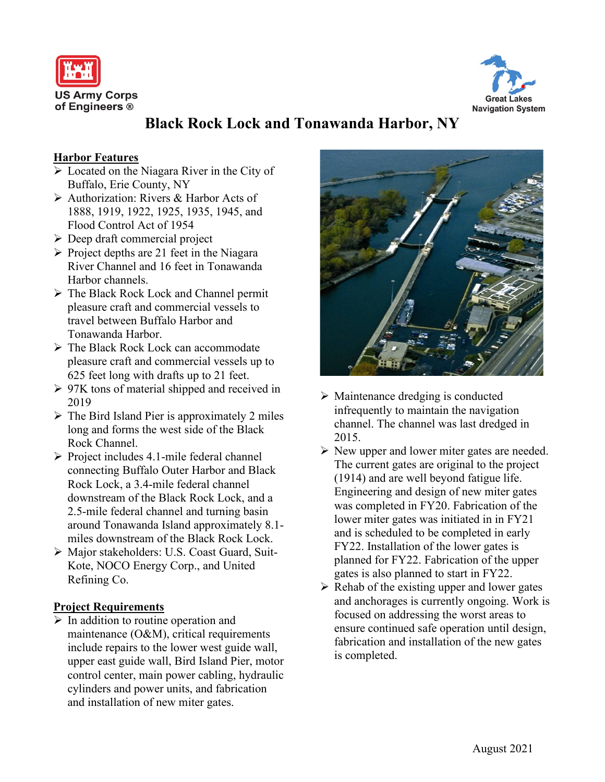



# **Black Rock Lock and Tonawanda Harbor, NY**

### **Harbor Features**

- $\triangleright$  Located on the Niagara River in the City of Buffalo, Erie County, NY
- Authorization: Rivers & Harbor Acts of 1888, 1919, 1922, 1925, 1935, 1945, and Flood Control Act of 1954
- $\triangleright$  Deep draft commercial project
- $\triangleright$  Project depths are 21 feet in the Niagara River Channel and 16 feet in Tonawanda Harbor channels.
- The Black Rock Lock and Channel permit pleasure craft and commercial vessels to travel between Buffalo Harbor and Tonawanda Harbor.
- > The Black Rock Lock can accommodate pleasure craft and commercial vessels up to 625 feet long with drafts up to 21 feet.
- $\geq 97K$  tons of material shipped and received in 2019
- $\triangleright$  The Bird Island Pier is approximately 2 miles long and forms the west side of the Black Rock Channel.
- $\triangleright$  Project includes 4.1-mile federal channel connecting Buffalo Outer Harbor and Black Rock Lock, a 3.4-mile federal channel downstream of the Black Rock Lock, and a 2.5-mile federal channel and turning basin around Tonawanda Island approximately 8.1 miles downstream of the Black Rock Lock.
- Major stakeholders: U.S. Coast Guard, Suit-Kote, NOCO Energy Corp., and United Refining Co.

### **Project Requirements**

 $\triangleright$  In addition to routine operation and maintenance (O&M), critical requirements include repairs to the lower west guide wall, upper east guide wall, Bird Island Pier, motor control center, main power cabling, hydraulic cylinders and power units, and fabrication and installation of new miter gates.



- $\triangleright$  Maintenance dredging is conducted infrequently to maintain the navigation channel. The channel was last dredged in 2015.
- $\triangleright$  New upper and lower miter gates are needed. The current gates are original to the project (1914) and are well beyond fatigue life. Engineering and design of new miter gates was completed in FY20. Fabrication of the lower miter gates was initiated in in FY21 and is scheduled to be completed in early FY22. Installation of the lower gates is planned for FY22. Fabrication of the upper gates is also planned to start in FY22.
- $\triangleright$  Rehab of the existing upper and lower gates and anchorages is currently ongoing. Work is focused on addressing the worst areas to ensure continued safe operation until design, fabrication and installation of the new gates is completed.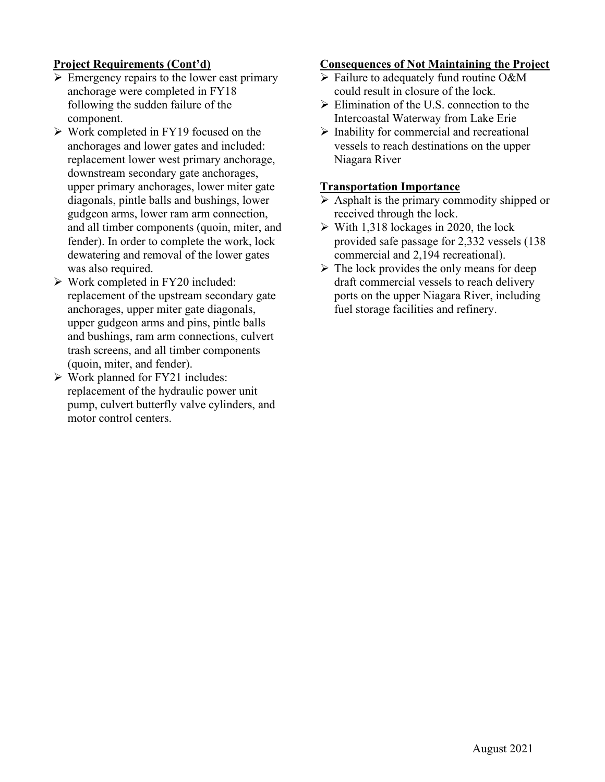## **Project Requirements (Cont'd)**

- $\triangleright$  Emergency repairs to the lower east primary anchorage were completed in FY18 following the sudden failure of the component.
- $\triangleright$  Work completed in FY19 focused on the anchorages and lower gates and included: replacement lower west primary anchorage, downstream secondary gate anchorages, upper primary anchorages, lower miter gate diagonals, pintle balls and bushings, lower gudgeon arms, lower ram arm connection, and all timber components (quoin, miter, and fender). In order to complete the work, lock dewatering and removal of the lower gates was also required.
- Work completed in FY20 included: replacement of the upstream secondary gate anchorages, upper miter gate diagonals, upper gudgeon arms and pins, pintle balls and bushings, ram arm connections, culvert trash screens, and all timber components (quoin, miter, and fender).
- Work planned for FY21 includes: replacement of the hydraulic power unit pump, culvert butterfly valve cylinders, and motor control centers.

#### **Consequences of Not Maintaining the Project**

- $\triangleright$  Failure to adequately fund routine O&M could result in closure of the lock.
- $\triangleright$  Elimination of the U.S. connection to the Intercoastal Waterway from Lake Erie
- $\triangleright$  Inability for commercial and recreational vessels to reach destinations on the upper Niagara River

#### **Transportation Importance**

- $\triangleright$  Asphalt is the primary commodity shipped or received through the lock.
- $\triangleright$  With 1,318 lockages in 2020, the lock provided safe passage for 2,332 vessels (138 commercial and 2,194 recreational).
- $\triangleright$  The lock provides the only means for deep draft commercial vessels to reach delivery ports on the upper Niagara River, including fuel storage facilities and refinery.